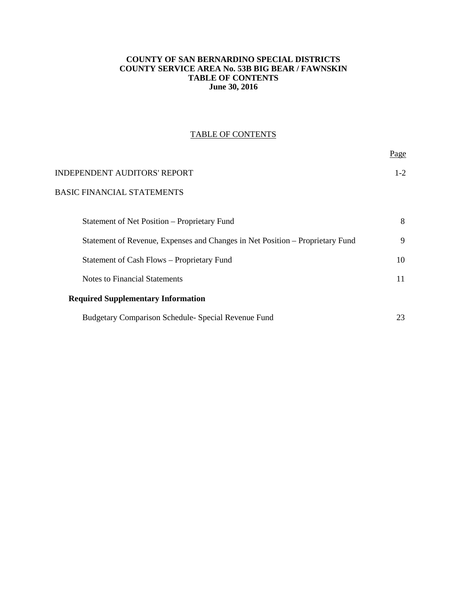# **COUNTY OF SAN BERNARDINO SPECIAL DISTRICTS COUNTY SERVICE AREA No. 53B BIG BEAR / FAWNSKIN TABLE OF CONTENTS June 30, 2016**

# TABLE OF CONTENTS

|                                                                               | Page    |
|-------------------------------------------------------------------------------|---------|
| <b>INDEPENDENT AUDITORS' REPORT</b>                                           | $1 - 2$ |
| <b>BASIC FINANCIAL STATEMENTS</b>                                             |         |
|                                                                               |         |
| Statement of Net Position – Proprietary Fund                                  | 8       |
| Statement of Revenue, Expenses and Changes in Net Position – Proprietary Fund | 9       |
| Statement of Cash Flows – Proprietary Fund                                    | 10      |
| <b>Notes to Financial Statements</b>                                          | 11      |
| <b>Required Supplementary Information</b>                                     |         |
| <b>Budgetary Comparison Schedule- Special Revenue Fund</b>                    | 23      |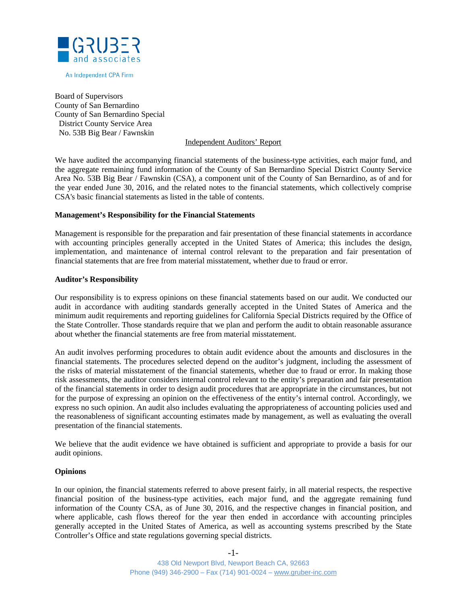

An Independent CPA Firm

Board of Supervisors County of San Bernardino County of San Bernardino Special District County Service Area No. 53B Big Bear / Fawnskin

#### Independent Auditors' Report

We have audited the accompanying financial statements of the business-type activities, each major fund, and the aggregate remaining fund information of the County of San Bernardino Special District County Service Area No. 53B Big Bear / Fawnskin (CSA), a component unit of the County of San Bernardino, as of and for the year ended June 30, 2016, and the related notes to the financial statements, which collectively comprise CSA's basic financial statements as listed in the table of contents.

#### **Management's Responsibility for the Financial Statements**

Management is responsible for the preparation and fair presentation of these financial statements in accordance with accounting principles generally accepted in the United States of America; this includes the design, implementation, and maintenance of internal control relevant to the preparation and fair presentation of financial statements that are free from material misstatement, whether due to fraud or error.

#### **Auditor's Responsibility**

Our responsibility is to express opinions on these financial statements based on our audit. We conducted our audit in accordance with auditing standards generally accepted in the United States of America and the minimum audit requirements and reporting guidelines for California Special Districts required by the Office of the State Controller. Those standards require that we plan and perform the audit to obtain reasonable assurance about whether the financial statements are free from material misstatement.

An audit involves performing procedures to obtain audit evidence about the amounts and disclosures in the financial statements. The procedures selected depend on the auditor's judgment, including the assessment of the risks of material misstatement of the financial statements, whether due to fraud or error. In making those risk assessments, the auditor considers internal control relevant to the entity's preparation and fair presentation of the financial statements in order to design audit procedures that are appropriate in the circumstances, but not for the purpose of expressing an opinion on the effectiveness of the entity's internal control. Accordingly, we express no such opinion. An audit also includes evaluating the appropriateness of accounting policies used and the reasonableness of significant accounting estimates made by management, as well as evaluating the overall presentation of the financial statements.

We believe that the audit evidence we have obtained is sufficient and appropriate to provide a basis for our audit opinions.

# **Opinions**

In our opinion, the financial statements referred to above present fairly, in all material respects, the respective financial position of the business-type activities, each major fund, and the aggregate remaining fund information of the County CSA, as of June 30, 2016, and the respective changes in financial position, and where applicable, cash flows thereof for the year then ended in accordance with accounting principles generally accepted in the United States of America, as well as accounting systems prescribed by the State Controller's Office and state regulations governing special districts.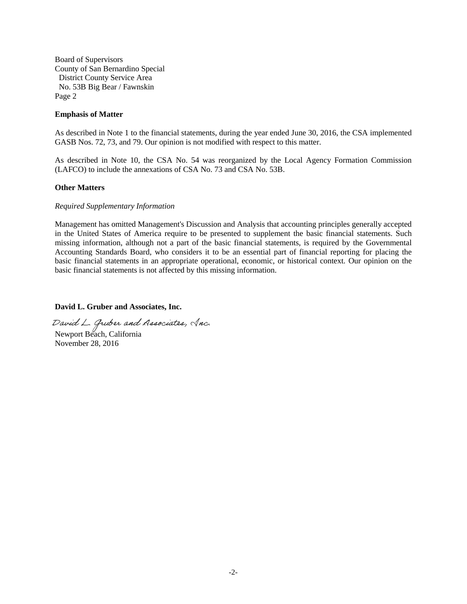Board of Supervisors County of San Bernardino Special District County Service Area No. 53B Big Bear / Fawnskin Page 2

#### **Emphasis of Matter**

As described in Note 1 to the financial statements, during the year ended June 30, 2016, the CSA implemented GASB Nos. 72, 73, and 79. Our opinion is not modified with respect to this matter.

As described in Note 10, the CSA No. 54 was reorganized by the Local Agency Formation Commission (LAFCO) to include the annexations of CSA No. 73 and CSA No. 53B.

#### **Other Matters**

#### *Required Supplementary Information*

Management has omitted Management's Discussion and Analysis that accounting principles generally accepted in the United States of America require to be presented to supplement the basic financial statements. Such missing information, although not a part of the basic financial statements, is required by the Governmental Accounting Standards Board, who considers it to be an essential part of financial reporting for placing the basic financial statements in an appropriate operational, economic, or historical context. Our opinion on the basic financial statements is not affected by this missing information.

# **David L. Gruber and Associates, Inc.**

Newport Beach, California November 28, 2016 David L. Gruber and Associates, Inc.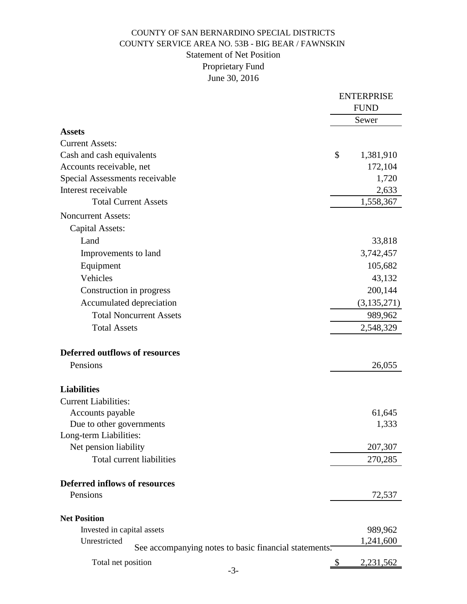# COUNTY OF SAN BERNARDINO SPECIAL DISTRICTS COUNTY SERVICE AREA NO. 53B - BIG BEAR / FAWNSKIN Statement of Net Position Proprietary Fund June 30, 2016

|                                                                       | <b>ENTERPRISE</b><br><b>FUND</b> |               |
|-----------------------------------------------------------------------|----------------------------------|---------------|
|                                                                       |                                  | Sewer         |
| <b>Assets</b>                                                         |                                  |               |
| <b>Current Assets:</b>                                                |                                  |               |
| Cash and cash equivalents                                             | \$                               | 1,381,910     |
| Accounts receivable, net                                              |                                  | 172,104       |
| Special Assessments receivable                                        |                                  | 1,720         |
| Interest receivable                                                   |                                  | 2,633         |
| <b>Total Current Assets</b>                                           |                                  | 1,558,367     |
| <b>Noncurrent Assets:</b>                                             |                                  |               |
| <b>Capital Assets:</b>                                                |                                  |               |
| Land                                                                  |                                  | 33,818        |
| Improvements to land                                                  |                                  | 3,742,457     |
| Equipment                                                             |                                  | 105,682       |
| Vehicles                                                              |                                  | 43,132        |
| Construction in progress                                              |                                  | 200,144       |
| Accumulated depreciation                                              |                                  | (3, 135, 271) |
| <b>Total Noncurrent Assets</b>                                        |                                  | 989,962       |
| <b>Total Assets</b>                                                   |                                  | 2,548,329     |
| <b>Deferred outflows of resources</b>                                 |                                  |               |
| Pensions                                                              |                                  | 26,055        |
| <b>Liabilities</b>                                                    |                                  |               |
| <b>Current Liabilities:</b>                                           |                                  |               |
| Accounts payable                                                      |                                  | 61,645        |
| Due to other governments                                              |                                  | 1,333         |
| Long-term Liabilities:                                                |                                  |               |
| Net pension liability                                                 |                                  | 207,307       |
| Total current liabilities                                             |                                  | 270,285       |
| <b>Deferred inflows of resources</b>                                  |                                  |               |
| Pensions                                                              |                                  | 72,537        |
| <b>Net Position</b>                                                   |                                  |               |
| Invested in capital assets                                            |                                  | 989,962       |
| Unrestricted<br>See accompanying notes to basic financial statements. |                                  | 1,241,600     |
| Total net position                                                    | \$                               | 2,231,562     |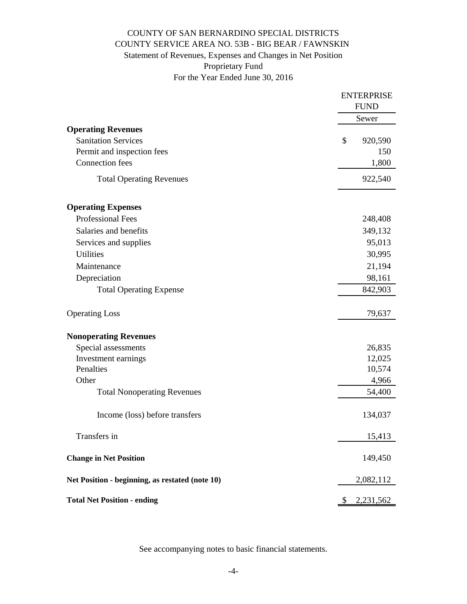# COUNTY OF SAN BERNARDINO SPECIAL DISTRICTS COUNTY SERVICE AREA NO. 53B - BIG BEAR / FAWNSKIN Statement of Revenues, Expenses and Changes in Net Position Proprietary Fund For the Year Ended June 30, 2016

|                                                 | <b>ENTERPRISE</b><br><b>FUND</b> |  |
|-------------------------------------------------|----------------------------------|--|
|                                                 | Sewer                            |  |
| <b>Operating Revenues</b>                       |                                  |  |
| <b>Sanitation Services</b>                      | $\mathcal{S}$<br>920,590         |  |
| Permit and inspection fees                      | 150                              |  |
| Connection fees                                 | 1,800                            |  |
| <b>Total Operating Revenues</b>                 | 922,540                          |  |
| <b>Operating Expenses</b>                       |                                  |  |
| Professional Fees                               | 248,408                          |  |
| Salaries and benefits                           | 349,132                          |  |
| Services and supplies                           | 95,013                           |  |
| <b>Utilities</b>                                | 30,995                           |  |
| Maintenance                                     | 21,194                           |  |
| Depreciation                                    | 98,161                           |  |
| <b>Total Operating Expense</b>                  | 842,903                          |  |
| <b>Operating Loss</b>                           | 79,637                           |  |
| <b>Nonoperating Revenues</b>                    |                                  |  |
| Special assessments                             | 26,835                           |  |
| Investment earnings                             | 12,025                           |  |
| Penalties                                       | 10,574                           |  |
| Other                                           | 4,966                            |  |
| <b>Total Nonoperating Revenues</b>              | 54,400                           |  |
| Income (loss) before transfers                  | 134,037                          |  |
| Transfers in                                    | 15,413                           |  |
| <b>Change in Net Position</b>                   | 149,450                          |  |
| Net Position - beginning, as restated (note 10) | 2,082,112                        |  |
| <b>Total Net Position - ending</b>              | 2,231,562<br><sup>\$</sup>       |  |

See accompanying notes to basic financial statements.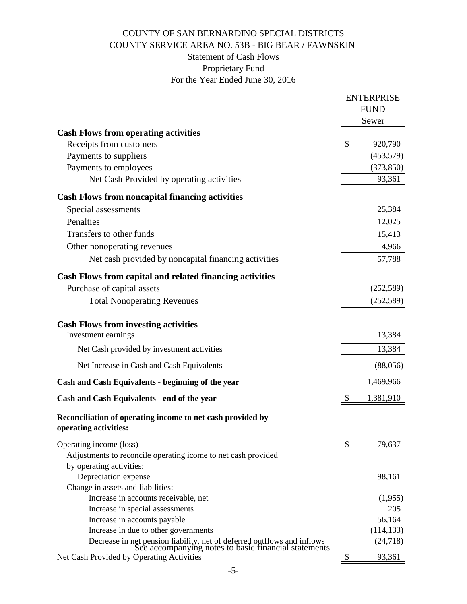# COUNTY OF SAN BERNARDINO SPECIAL DISTRICTS COUNTY SERVICE AREA NO. 53B - BIG BEAR / FAWNSKIN Statement of Cash Flows Proprietary Fund For the Year Ended June 30, 2016

|                                                                                                                                                                               | <b>ENTERPRISE</b><br><b>FUND</b> |                        |
|-------------------------------------------------------------------------------------------------------------------------------------------------------------------------------|----------------------------------|------------------------|
|                                                                                                                                                                               |                                  | Sewer                  |
| <b>Cash Flows from operating activities</b>                                                                                                                                   |                                  |                        |
| Receipts from customers                                                                                                                                                       | \$                               | 920,790                |
| Payments to suppliers                                                                                                                                                         |                                  | (453, 579)             |
| Payments to employees                                                                                                                                                         |                                  | (373, 850)             |
| Net Cash Provided by operating activities                                                                                                                                     |                                  | 93,361                 |
| <b>Cash Flows from noncapital financing activities</b>                                                                                                                        |                                  |                        |
| Special assessments                                                                                                                                                           |                                  | 25,384                 |
| Penalties                                                                                                                                                                     |                                  | 12,025                 |
| Transfers to other funds                                                                                                                                                      |                                  | 15,413                 |
| Other nonoperating revenues                                                                                                                                                   |                                  | 4,966                  |
| Net cash provided by noncapital financing activities                                                                                                                          |                                  | 57,788                 |
| Cash Flows from capital and related financing activities                                                                                                                      |                                  |                        |
| Purchase of capital assets                                                                                                                                                    |                                  | (252, 589)             |
| <b>Total Nonoperating Revenues</b>                                                                                                                                            |                                  | (252, 589)             |
|                                                                                                                                                                               |                                  |                        |
| <b>Cash Flows from investing activities</b><br>Investment earnings                                                                                                            |                                  | 13,384                 |
| Net Cash provided by investment activities                                                                                                                                    |                                  | 13,384                 |
| Net Increase in Cash and Cash Equivalents                                                                                                                                     |                                  | (88,056)               |
| Cash and Cash Equivalents - beginning of the year                                                                                                                             |                                  | 1,469,966              |
| Cash and Cash Equivalents - end of the year                                                                                                                                   |                                  | 1,381,910              |
| Reconciliation of operating income to net cash provided by<br>operating activities:                                                                                           |                                  |                        |
| Operating income (loss)                                                                                                                                                       | \$                               | 79,637                 |
| Adjustments to reconcile operating icome to net cash provided                                                                                                                 |                                  |                        |
| by operating activities:                                                                                                                                                      |                                  |                        |
| Depreciation expense                                                                                                                                                          |                                  | 98,161                 |
| Change in assets and liabilities:                                                                                                                                             |                                  |                        |
| Increase in accounts receivable, net                                                                                                                                          |                                  | (1,955)                |
| Increase in special assessments                                                                                                                                               |                                  | 205                    |
| Increase in accounts payable                                                                                                                                                  |                                  | 56,164                 |
| Increase in due to other governments                                                                                                                                          |                                  | (114, 133)<br>(24,718) |
| Decrease in net pension liability, net of deferred outflows and inflows<br>See accompanying notes to basic financial statements.<br>Net Cash Provided by Operating Activities | \$                               | 93,361                 |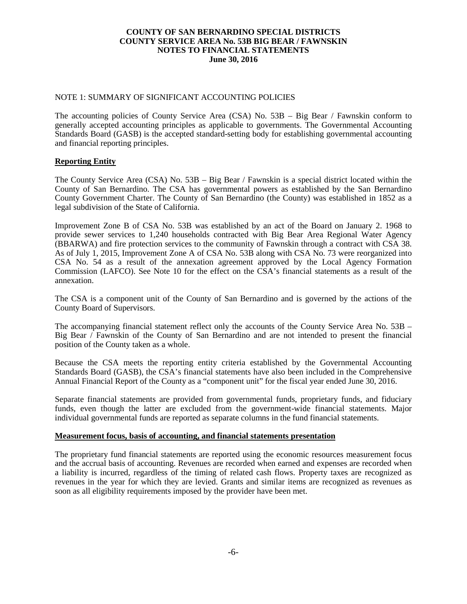# NOTE 1: SUMMARY OF SIGNIFICANT ACCOUNTING POLICIES

The accounting policies of County Service Area (CSA) No. 53B – Big Bear / Fawnskin conform to generally accepted accounting principles as applicable to governments. The Governmental Accounting Standards Board (GASB) is the accepted standard-setting body for establishing governmental accounting and financial reporting principles.

# **Reporting Entity**

The County Service Area (CSA) No. 53B – Big Bear / Fawnskin is a special district located within the County of San Bernardino. The CSA has governmental powers as established by the San Bernardino County Government Charter. The County of San Bernardino (the County) was established in 1852 as a legal subdivision of the State of California.

Improvement Zone B of CSA No. 53B was established by an act of the Board on January 2. 1968 to provide sewer services to 1,240 households contracted with Big Bear Area Regional Water Agency (BBARWA) and fire protection services to the community of Fawnskin through a contract with CSA 38. As of July 1, 2015, Improvement Zone A of CSA No. 53B along with CSA No. 73 were reorganized into CSA No. 54 as a result of the annexation agreement approved by the Local Agency Formation Commission (LAFCO). See Note 10 for the effect on the CSA's financial statements as a result of the annexation.

The CSA is a component unit of the County of San Bernardino and is governed by the actions of the County Board of Supervisors.

The accompanying financial statement reflect only the accounts of the County Service Area No. 53B – Big Bear / Fawnskin of the County of San Bernardino and are not intended to present the financial position of the County taken as a whole.

Because the CSA meets the reporting entity criteria established by the Governmental Accounting Standards Board (GASB), the CSA's financial statements have also been included in the Comprehensive Annual Financial Report of the County as a "component unit" for the fiscal year ended June 30, 2016.

Separate financial statements are provided from governmental funds, proprietary funds, and fiduciary funds, even though the latter are excluded from the government-wide financial statements. Major individual governmental funds are reported as separate columns in the fund financial statements.

# **Measurement focus, basis of accounting, and financial statements presentation**

The proprietary fund financial statements are reported using the economic resources measurement focus and the accrual basis of accounting. Revenues are recorded when earned and expenses are recorded when a liability is incurred, regardless of the timing of related cash flows. Property taxes are recognized as revenues in the year for which they are levied. Grants and similar items are recognized as revenues as soon as all eligibility requirements imposed by the provider have been met.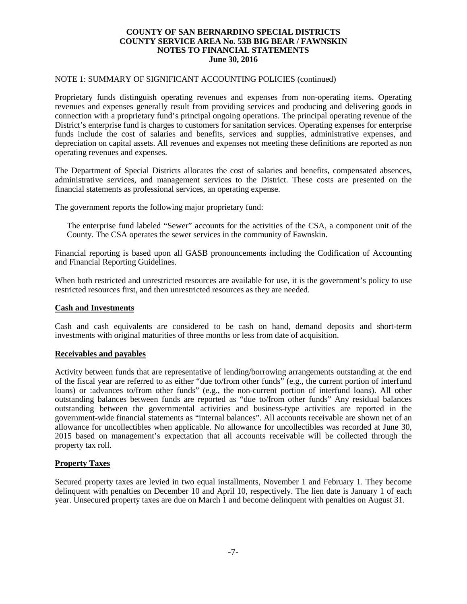# NOTE 1: SUMMARY OF SIGNIFICANT ACCOUNTING POLICIES (continued)

Proprietary funds distinguish operating revenues and expenses from non-operating items. Operating revenues and expenses generally result from providing services and producing and delivering goods in connection with a proprietary fund's principal ongoing operations. The principal operating revenue of the District's enterprise fund is charges to customers for sanitation services. Operating expenses for enterprise funds include the cost of salaries and benefits, services and supplies, administrative expenses, and depreciation on capital assets. All revenues and expenses not meeting these definitions are reported as non operating revenues and expenses.

The Department of Special Districts allocates the cost of salaries and benefits, compensated absences, administrative services, and management services to the District. These costs are presented on the financial statements as professional services, an operating expense.

The government reports the following major proprietary fund:

The enterprise fund labeled "Sewer" accounts for the activities of the CSA, a component unit of the County. The CSA operates the sewer services in the community of Fawnskin.

Financial reporting is based upon all GASB pronouncements including the Codification of Accounting and Financial Reporting Guidelines.

When both restricted and unrestricted resources are available for use, it is the government's policy to use restricted resources first, and then unrestricted resources as they are needed.

# **Cash and Investments**

Cash and cash equivalents are considered to be cash on hand, demand deposits and short-term investments with original maturities of three months or less from date of acquisition.

# **Receivables and payables**

Activity between funds that are representative of lending/borrowing arrangements outstanding at the end of the fiscal year are referred to as either "due to/from other funds" (e.g., the current portion of interfund loans) or :advances to/from other funds" (e.g., the non-current portion of interfund loans). All other outstanding balances between funds are reported as "due to/from other funds" Any residual balances outstanding between the governmental activities and business-type activities are reported in the government-wide financial statements as "internal balances". All accounts receivable are shown net of an allowance for uncollectibles when applicable. No allowance for uncollectibles was recorded at June 30, 2015 based on management's expectation that all accounts receivable will be collected through the property tax roll.

# **Property Taxes**

Secured property taxes are levied in two equal installments, November 1 and February 1. They become delinquent with penalties on December 10 and April 10, respectively. The lien date is January 1 of each year. Unsecured property taxes are due on March 1 and become delinquent with penalties on August 31.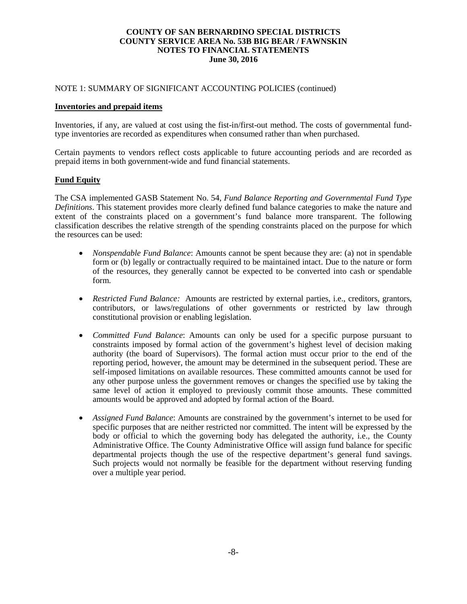# NOTE 1: SUMMARY OF SIGNIFICANT ACCOUNTING POLICIES (continued)

# **Inventories and prepaid items**

Inventories, if any, are valued at cost using the fist-in/first-out method. The costs of governmental fundtype inventories are recorded as expenditures when consumed rather than when purchased.

Certain payments to vendors reflect costs applicable to future accounting periods and are recorded as prepaid items in both government-wide and fund financial statements.

# **Fund Equity**

The CSA implemented GASB Statement No. 54, *Fund Balance Reporting and Governmental Fund Type Definitions*. This statement provides more clearly defined fund balance categories to make the nature and extent of the constraints placed on a government's fund balance more transparent. The following classification describes the relative strength of the spending constraints placed on the purpose for which the resources can be used:

- *Nonspendable Fund Balance*: Amounts cannot be spent because they are: (a) not in spendable form or (b) legally or contractually required to be maintained intact. Due to the nature or form of the resources, they generally cannot be expected to be converted into cash or spendable form.
- *Restricted Fund Balance:* Amounts are restricted by external parties, i.e., creditors, grantors, contributors, or laws/regulations of other governments or restricted by law through constitutional provision or enabling legislation.
- *Committed Fund Balance*: Amounts can only be used for a specific purpose pursuant to constraints imposed by formal action of the government's highest level of decision making authority (the board of Supervisors). The formal action must occur prior to the end of the reporting period, however, the amount may be determined in the subsequent period. These are self-imposed limitations on available resources. These committed amounts cannot be used for any other purpose unless the government removes or changes the specified use by taking the same level of action it employed to previously commit those amounts. These committed amounts would be approved and adopted by formal action of the Board.
- *Assigned Fund Balance*: Amounts are constrained by the government's internet to be used for specific purposes that are neither restricted nor committed. The intent will be expressed by the body or official to which the governing body has delegated the authority, i.e., the County Administrative Office. The County Administrative Office will assign fund balance for specific departmental projects though the use of the respective department's general fund savings. Such projects would not normally be feasible for the department without reserving funding over a multiple year period.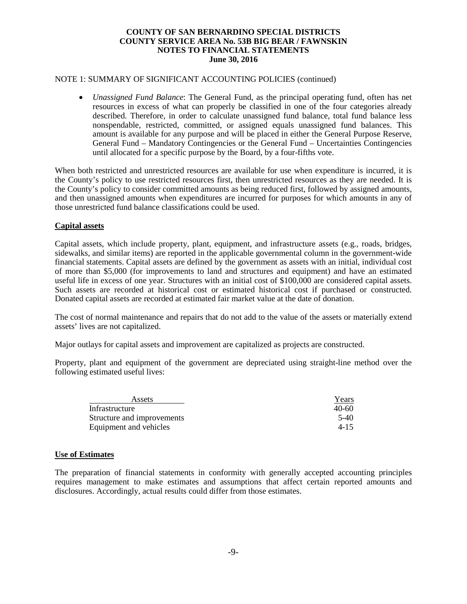# NOTE 1: SUMMARY OF SIGNIFICANT ACCOUNTING POLICIES (continued)

• *Unassigned Fund Balance*: The General Fund, as the principal operating fund, often has net resources in excess of what can properly be classified in one of the four categories already described. Therefore, in order to calculate unassigned fund balance, total fund balance less nonspendable, restricted, committed, or assigned equals unassigned fund balances. This amount is available for any purpose and will be placed in either the General Purpose Reserve, General Fund – Mandatory Contingencies or the General Fund – Uncertainties Contingencies until allocated for a specific purpose by the Board, by a four-fifths vote.

When both restricted and unrestricted resources are available for use when expenditure is incurred, it is the County's policy to use restricted resources first, then unrestricted resources as they are needed. It is the County's policy to consider committed amounts as being reduced first, followed by assigned amounts, and then unassigned amounts when expenditures are incurred for purposes for which amounts in any of those unrestricted fund balance classifications could be used.

# **Capital assets**

Capital assets, which include property, plant, equipment, and infrastructure assets (e.g., roads, bridges, sidewalks, and similar items) are reported in the applicable governmental column in the government-wide financial statements. Capital assets are defined by the government as assets with an initial, individual cost of more than \$5,000 (for improvements to land and structures and equipment) and have an estimated useful life in excess of one year. Structures with an initial cost of \$100,000 are considered capital assets. Such assets are recorded at historical cost or estimated historical cost if purchased or constructed. Donated capital assets are recorded at estimated fair market value at the date of donation.

The cost of normal maintenance and repairs that do not add to the value of the assets or materially extend assets' lives are not capitalized.

Major outlays for capital assets and improvement are capitalized as projects are constructed.

Property, plant and equipment of the government are depreciated using straight-line method over the following estimated useful lives:

| Assets                     | Years    |
|----------------------------|----------|
| Infrastructure             | 40-60    |
| Structure and improvements | 5-40     |
| Equipment and vehicles     | $4 - 15$ |

#### **Use of Estimates**

The preparation of financial statements in conformity with generally accepted accounting principles requires management to make estimates and assumptions that affect certain reported amounts and disclosures. Accordingly, actual results could differ from those estimates.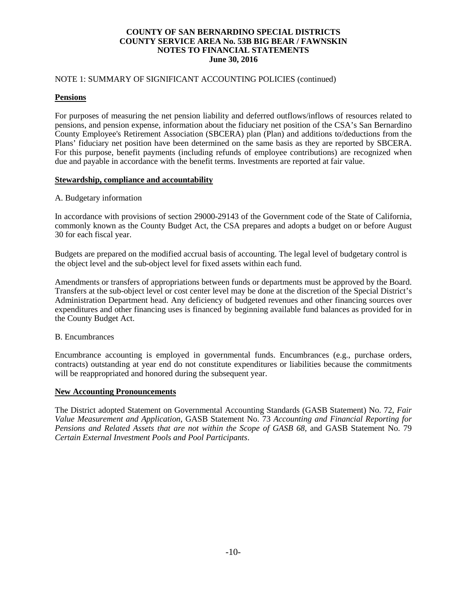# NOTE 1: SUMMARY OF SIGNIFICANT ACCOUNTING POLICIES (continued)

# **Pensions**

For purposes of measuring the net pension liability and deferred outflows/inflows of resources related to pensions, and pension expense, information about the fiduciary net position of the CSA's San Bernardino County Employee's Retirement Association (SBCERA) plan (Plan) and additions to/deductions from the Plans' fiduciary net position have been determined on the same basis as they are reported by SBCERA. For this purpose, benefit payments (including refunds of employee contributions) are recognized when due and payable in accordance with the benefit terms. Investments are reported at fair value.

# **Stewardship, compliance and accountability**

# A. Budgetary information

In accordance with provisions of section 29000-29143 of the Government code of the State of California, commonly known as the County Budget Act, the CSA prepares and adopts a budget on or before August 30 for each fiscal year.

Budgets are prepared on the modified accrual basis of accounting. The legal level of budgetary control is the object level and the sub-object level for fixed assets within each fund.

Amendments or transfers of appropriations between funds or departments must be approved by the Board. Transfers at the sub-object level or cost center level may be done at the discretion of the Special District's Administration Department head. Any deficiency of budgeted revenues and other financing sources over expenditures and other financing uses is financed by beginning available fund balances as provided for in the County Budget Act.

# B. Encumbrances

Encumbrance accounting is employed in governmental funds. Encumbrances (e.g., purchase orders, contracts) outstanding at year end do not constitute expenditures or liabilities because the commitments will be reappropriated and honored during the subsequent year.

# **New Accounting Pronouncements**

The District adopted Statement on Governmental Accounting Standards (GASB Statement) No. 72, *Fair Value Measurement and Application*, GASB Statement No. 73 *Accounting and Financial Reporting for Pensions and Related Assets that are not within the Scope of GASB 68*, and GASB Statement No. 79 *Certain External Investment Pools and Pool Participants*.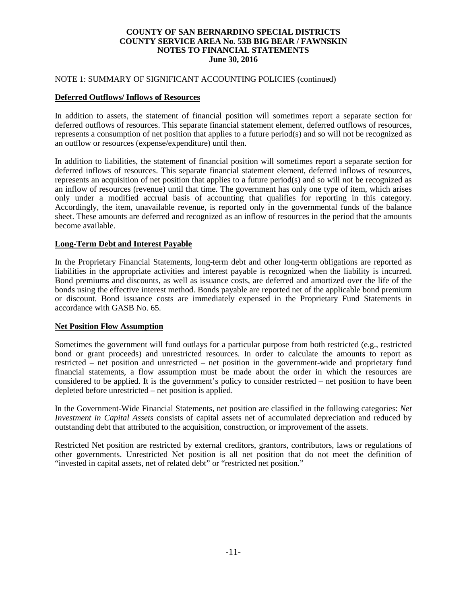# NOTE 1: SUMMARY OF SIGNIFICANT ACCOUNTING POLICIES (continued)

# **Deferred Outflows/ Inflows of Resources**

In addition to assets, the statement of financial position will sometimes report a separate section for deferred outflows of resources. This separate financial statement element, deferred outflows of resources, represents a consumption of net position that applies to a future period(s) and so will not be recognized as an outflow or resources (expense/expenditure) until then.

In addition to liabilities, the statement of financial position will sometimes report a separate section for deferred inflows of resources. This separate financial statement element, deferred inflows of resources, represents an acquisition of net position that applies to a future period(s) and so will not be recognized as an inflow of resources (revenue) until that time. The government has only one type of item, which arises only under a modified accrual basis of accounting that qualifies for reporting in this category. Accordingly, the item, unavailable revenue, is reported only in the governmental funds of the balance sheet. These amounts are deferred and recognized as an inflow of resources in the period that the amounts become available.

# **Long-Term Debt and Interest Payable**

In the Proprietary Financial Statements, long-term debt and other long-term obligations are reported as liabilities in the appropriate activities and interest payable is recognized when the liability is incurred. Bond premiums and discounts, as well as issuance costs, are deferred and amortized over the life of the bonds using the effective interest method. Bonds payable are reported net of the applicable bond premium or discount. Bond issuance costs are immediately expensed in the Proprietary Fund Statements in accordance with GASB No. 65.

# **Net Position Flow Assumption**

Sometimes the government will fund outlays for a particular purpose from both restricted (e.g., restricted bond or grant proceeds) and unrestricted resources. In order to calculate the amounts to report as restricted – net position and unrestricted – net position in the government-wide and proprietary fund financial statements, a flow assumption must be made about the order in which the resources are considered to be applied. It is the government's policy to consider restricted – net position to have been depleted before unrestricted – net position is applied.

In the Government-Wide Financial Statements, net position are classified in the following categories: *Net Investment in Capital Assets* consists of capital assets net of accumulated depreciation and reduced by outstanding debt that attributed to the acquisition, construction, or improvement of the assets.

Restricted Net position are restricted by external creditors, grantors, contributors, laws or regulations of other governments. Unrestricted Net position is all net position that do not meet the definition of "invested in capital assets, net of related debt" or "restricted net position."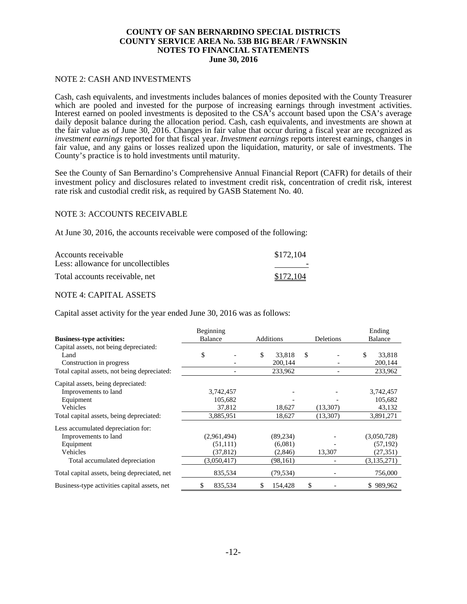#### NOTE 2: CASH AND INVESTMENTS

Cash, cash equivalents, and investments includes balances of monies deposited with the County Treasurer which are pooled and invested for the purpose of increasing earnings through investment activities. Interest earned on pooled investments is deposited to the CSA's account based upon the CSA's average daily deposit balance during the allocation period. Cash, cash equivalents, and investments are shown at the fair value as of June 30, 2016. Changes in fair value that occur during a fiscal year are recognized as *investment earnings* reported for that fiscal year. *Investment earnings* reports interest earnings, changes in fair value, and any gains or losses realized upon the liquidation, maturity, or sale of investments. The County's practice is to hold investments until maturity.

See the County of San Bernardino's Comprehensive Annual Financial Report (CAFR) for details of their investment policy and disclosures related to investment credit risk, concentration of credit risk, interest rate risk and custodial credit risk, as required by GASB Statement No. 40.

# NOTE 3: ACCOUNTS RECEIVABLE

At June 30, 2016, the accounts receivable were composed of the following:

| Accounts receivable                | \$172,104 |
|------------------------------------|-----------|
| Less: allowance for uncollectibles |           |
| Total accounts receivable, net     | \$172,104 |

# NOTE 4: CAPITAL ASSETS

Capital asset activity for the year ended June 30, 2016 was as follows:

|                                              |                | Beginning   |                  |    |           |   | Ending      |
|----------------------------------------------|----------------|-------------|------------------|----|-----------|---|-------------|
| <b>Business-type activities:</b>             | <b>Balance</b> |             | <b>Additions</b> |    | Deletions |   | Balance     |
| Capital assets, not being depreciated:       |                |             |                  |    |           |   |             |
| Land                                         | \$             |             | \$<br>33,818     | \$ |           | S | 33,818      |
| Construction in progress                     |                |             | 200,144          |    |           |   | 200,144     |
| Total capital assets, not being depreciated: |                |             | 233,962          |    |           |   | 233,962     |
| Capital assets, being depreciated:           |                |             |                  |    |           |   |             |
| Improvements to land                         |                | 3,742,457   |                  |    |           |   | 3,742,457   |
| Equipment                                    | 105,682        |             |                  |    |           |   | 105,682     |
| Vehicles                                     | 37,812         |             | 18,627           |    | (13,307)  |   | 43,132      |
| Total capital assets, being depreciated:     |                | 3,885,951   | 18,627           |    | (13,307)  |   | 3,891,271   |
| Less accumulated depreciation for:           |                |             |                  |    |           |   |             |
| Improvements to land                         |                | (2,961,494) | (89, 234)        |    |           |   | (3,050,728) |
| Equipment                                    |                | (51, 111)   | (6,081)          |    |           |   | (57, 192)   |
| Vehicles                                     |                | (37, 812)   | (2,846)          |    | 13,307    |   | (27, 351)   |
| Total accumulated depreciation               |                | (3,050,417) | (98, 161)        |    |           |   | (3,135,271) |
| Total capital assets, being depreciated, net |                | 835,534     | (79, 534)        |    |           |   | 756,000     |
| Business-type activities capital assets, net | S.             | 835,534     | \$<br>154.428    | \$ |           |   | \$989,962   |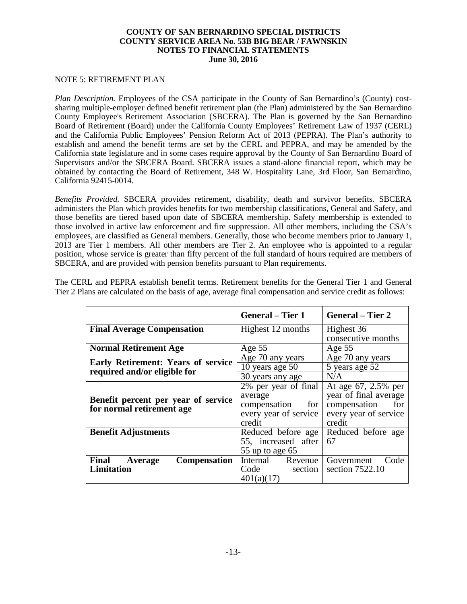# NOTE 5: RETIREMENT PLAN

*Plan Description.* Employees of the CSA participate in the County of San Bernardino's (County) costsharing multiple-employer defined benefit retirement plan (the Plan) administered by the San Bernardino County Employee's Retirement Association (SBCERA). The Plan is governed by the San Bernardino Board of Retirement (Board) under the California County Employees' Retirement Law of 1937 (CERL) and the California Public Employees' Pension Reform Act of 2013 (PEPRA). The Plan's authority to establish and amend the benefit terms are set by the CERL and PEPRA, and may be amended by the California state legislature and in some cases require approval by the County of San Bernardino Board of Supervisors and/or the SBCERA Board. SBCERA issues a stand-alone financial report, which may be obtained by contacting the Board of Retirement, 348 W. Hospitality Lane, 3rd Floor, San Bernardino, California 92415-0014.

*Benefits Provided.* SBCERA provides retirement, disability, death and survivor benefits. SBCERA administers the Plan which provides benefits for two membership classifications, General and Safety, and those benefits are tiered based upon date of SBCERA membership. Safety membership is extended to those involved in active law enforcement and fire suppression. All other members, including the CSA's employees, are classified as General members. Generally, those who become members prior to January 1, 2013 are Tier 1 members. All other members are Tier 2. An employee who is appointed to a regular position, whose service is greater than fifty percent of the full standard of hours required are members of SBCERA, and are provided with pension benefits pursuant to Plan requirements.

|                                                                           | <b>General</b> – Tier 1 | <b>General</b> – Tier 2 |
|---------------------------------------------------------------------------|-------------------------|-------------------------|
| <b>Final Average Compensation</b>                                         | Highest 12 months       | Highest 36              |
|                                                                           |                         | consecutive months      |
| <b>Normal Retirement Age</b>                                              | Age $55$                | Age $55$                |
|                                                                           | Age 70 any years        | Age 70 any years        |
| <b>Early Retirement: Years of service</b><br>required and/or eligible for | 10 years age $50$       | 5 years age 52          |
|                                                                           | 30 years any age        | N/A                     |
|                                                                           | 2% per year of final    | At age 67, 2.5% per     |
| Benefit percent per year of service                                       | average                 | year of final average   |
| for normal retirement age                                                 | $compensation$ for      | compensation<br>for     |
|                                                                           | every year of service   | every year of service   |
|                                                                           | credit                  | credit                  |
| <b>Benefit Adjustments</b>                                                | Reduced before age      | Reduced before age      |
|                                                                           | 55, increased after     | 67                      |
|                                                                           | 55 up to age 65         |                         |
| Final<br>Compensation<br>Average                                          | Internal Revenue        | Code<br>Government      |
| Limitation                                                                | Code section            | section 7522.10         |
|                                                                           | 401(a)(17)              |                         |

The CERL and PEPRA establish benefit terms. Retirement benefits for the General Tier 1 and General Tier 2 Plans are calculated on the basis of age, average final compensation and service credit as follows: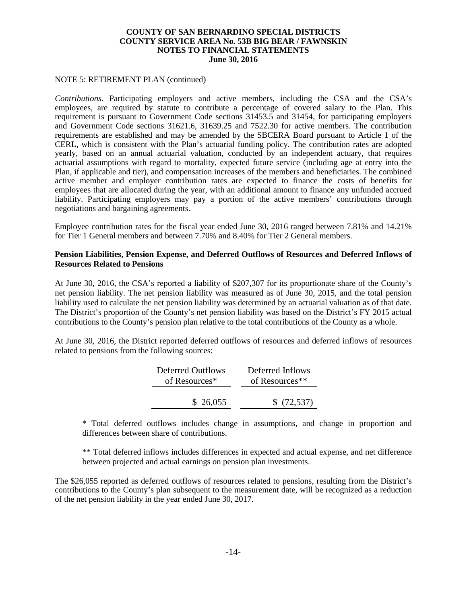# NOTE 5: RETIREMENT PLAN (continued)

*Contributions.* Participating employers and active members, including the CSA and the CSA's employees, are required by statute to contribute a percentage of covered salary to the Plan. This requirement is pursuant to Government Code sections 31453.5 and 31454, for participating employers and Government Code sections 31621.6, 31639.25 and 7522.30 for active members. The contribution requirements are established and may be amended by the SBCERA Board pursuant to Article 1 of the CERL, which is consistent with the Plan's actuarial funding policy. The contribution rates are adopted yearly, based on an annual actuarial valuation, conducted by an independent actuary, that requires actuarial assumptions with regard to mortality, expected future service (including age at entry into the Plan, if applicable and tier), and compensation increases of the members and beneficiaries. The combined active member and employer contribution rates are expected to finance the costs of benefits for employees that are allocated during the year, with an additional amount to finance any unfunded accrued liability. Participating employers may pay a portion of the active members' contributions through negotiations and bargaining agreements.

Employee contribution rates for the fiscal year ended June 30, 2016 ranged between 7.81% and 14.21% for Tier 1 General members and between 7.70% and 8.40% for Tier 2 General members.

# **Pension Liabilities, Pension Expense, and Deferred Outflows of Resources and Deferred Inflows of Resources Related to Pensions**

At June 30, 2016, the CSA's reported a liability of \$207,307 for its proportionate share of the County's net pension liability. The net pension liability was measured as of June 30, 2015, and the total pension liability used to calculate the net pension liability was determined by an actuarial valuation as of that date. The District's proportion of the County's net pension liability was based on the District's FY 2015 actual contributions to the County's pension plan relative to the total contributions of the County as a whole.

At June 30, 2016, the District reported deferred outflows of resources and deferred inflows of resources related to pensions from the following sources:

| Deferred Outflows | Deferred Inflows |  |
|-------------------|------------------|--|
| of Resources*     | of Resources**   |  |
|                   |                  |  |
| \$26,055          | \$(72,537)       |  |

\* Total deferred outflows includes change in assumptions, and change in proportion and differences between share of contributions.

\*\* Total deferred inflows includes differences in expected and actual expense, and net difference between projected and actual earnings on pension plan investments.

The \$26,055 reported as deferred outflows of resources related to pensions, resulting from the District's contributions to the County's plan subsequent to the measurement date, will be recognized as a reduction of the net pension liability in the year ended June 30, 2017.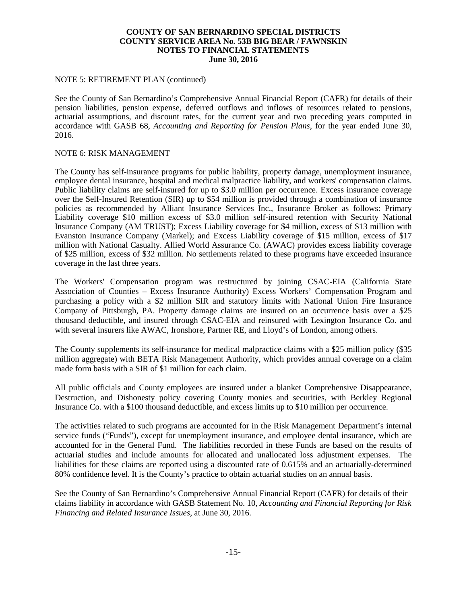# NOTE 5: RETIREMENT PLAN (continued)

See the County of San Bernardino's Comprehensive Annual Financial Report (CAFR) for details of their pension liabilities, pension expense, deferred outflows and inflows of resources related to pensions, actuarial assumptions, and discount rates, for the current year and two preceding years computed in accordance with GASB 68, *Accounting and Reporting for Pension Plans*, for the year ended June 30, 2016.

# NOTE 6: RISK MANAGEMENT

The County has self-insurance programs for public liability, property damage, unemployment insurance, employee dental insurance, hospital and medical malpractice liability, and workers' compensation claims. Public liability claims are self-insured for up to \$3.0 million per occurrence. Excess insurance coverage over the Self-Insured Retention (SIR) up to \$54 million is provided through a combination of insurance policies as recommended by Alliant Insurance Services Inc., Insurance Broker as follows: Primary Liability coverage \$10 million excess of \$3.0 million self-insured retention with Security National Insurance Company (AM TRUST); Excess Liability coverage for \$4 million, excess of \$13 million with Evanston Insurance Company (Markel); and Excess Liability coverage of \$15 million, excess of \$17 million with National Casualty. Allied World Assurance Co. (AWAC) provides excess liability coverage of \$25 million, excess of \$32 million. No settlements related to these programs have exceeded insurance coverage in the last three years.

The Workers' Compensation program was restructured by joining CSAC-EIA (California State Association of Counties – Excess Insurance Authority) Excess Workers' Compensation Program and purchasing a policy with a \$2 million SIR and statutory limits with National Union Fire Insurance Company of Pittsburgh, PA. Property damage claims are insured on an occurrence basis over a \$25 thousand deductible, and insured through CSAC-EIA and reinsured with Lexington Insurance Co. and with several insurers like AWAC, Ironshore, Partner RE, and Lloyd's of London, among others.

The County supplements its self-insurance for medical malpractice claims with a \$25 million policy (\$35 million aggregate) with BETA Risk Management Authority, which provides annual coverage on a claim made form basis with a SIR of \$1 million for each claim.

All public officials and County employees are insured under a blanket Comprehensive Disappearance, Destruction, and Dishonesty policy covering County monies and securities, with Berkley Regional Insurance Co. with a \$100 thousand deductible, and excess limits up to \$10 million per occurrence.

The activities related to such programs are accounted for in the Risk Management Department's internal service funds ("Funds"), except for unemployment insurance, and employee dental insurance, which are accounted for in the General Fund. The liabilities recorded in these Funds are based on the results of actuarial studies and include amounts for allocated and unallocated loss adjustment expenses. The liabilities for these claims are reported using a discounted rate of 0.615% and an actuarially-determined 80% confidence level. It is the County's practice to obtain actuarial studies on an annual basis.

See the County of San Bernardino's Comprehensive Annual Financial Report (CAFR) for details of their claims liability in accordance with GASB Statement No. 10, *Accounting and Financial Reporting for Risk Financing and Related Insurance Issues*, at June 30, 2016.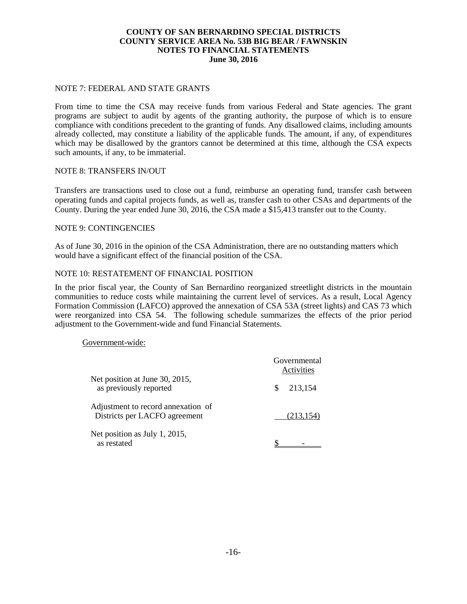# NOTE 7: FEDERAL AND STATE GRANTS

From time to time the CSA may receive funds from various Federal and State agencies. The grant programs are subject to audit by agents of the granting authority, the purpose of which is to ensure compliance with conditions precedent to the granting of funds. Any disallowed claims, including amounts already collected, may constitute a liability of the applicable funds. The amount, if any, of expenditures which may be disallowed by the grantors cannot be determined at this time, although the CSA expects such amounts, if any, to be immaterial.

# NOTE 8: TRANSFERS IN/OUT

Transfers are transactions used to close out a fund, reimburse an operating fund, transfer cash between operating funds and capital projects funds, as well as, transfer cash to other CSAs and departments of the County. During the year ended June 30, 2016, the CSA made a \$15,413 transfer out to the County.

# NOTE 9: CONTINGENCIES

As of June 30, 2016 in the opinion of the CSA Administration, there are no outstanding matters which would have a significant effect of the financial position of the CSA.

### NOTE 10: RESTATEMENT OF FINANCIAL POSITION

In the prior fiscal year, the County of San Bernardino reorganized streetlight districts in the mountain communities to reduce costs while maintaining the current level of services. As a result, Local Agency Formation Commission (LAFCO) approved the annexation of CSA 53A (street lights) and CAS 73 which were reorganized into CSA 54. The following schedule summarizes the effects of the prior period adjustment to the Government-wide and fund Financial Statements.

#### Government-wide:

|                                                                     | Governmental<br>Activities |
|---------------------------------------------------------------------|----------------------------|
| Net position at June 30, 2015,<br>as previously reported            | 213.154<br>æ,              |
| Adjustment to record annexation of<br>Districts per LACFO agreement | (213.154)                  |
| Net position as July 1, 2015,<br>as restated                        |                            |